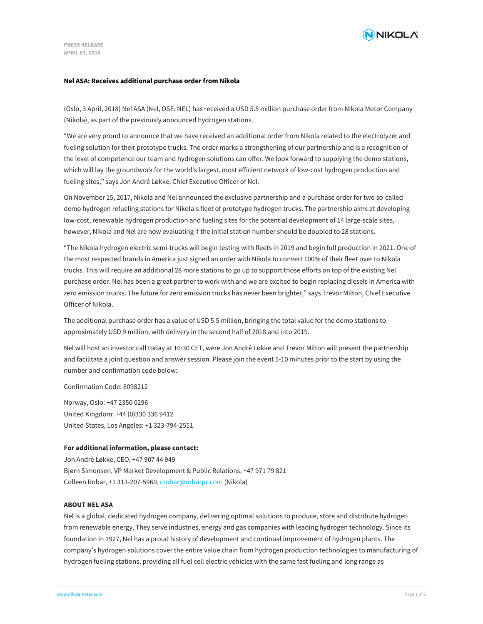

## **Nel ASA: Receives additional purchase order from Nikola**

(Oslo, 3 April, 2018) Nel ASA (Nel, OSE: NEL) has received a USD 5.5 million purchase order from Nikola Motor Company (Nikola), as part of the previously announced hydrogen stations.

"We are very proud to announce that we have received an additional order from Nikola related to the electrolyzer and fueling solution for their prototype trucks. The order marks a strengthening of our partnership and is a recognition of the level of competence our team and hydrogen solutions can offer. We look forward to supplying the demo stations, which will lay the groundwork for the world's largest, most efficient network of low-cost hydrogen production and fueling sites," says Jon André Løkke, Chief Executive Officer of Nel.

On November 15, 2017, Nikola and Nel announced the exclusive partnership and a purchase order for two so-called demo hydrogen refueling stations for Nikola's fleet of prototype hydrogen trucks. The partnership aims at developing low-cost, renewable hydrogen production and fueling sites for the potential development of 14 large-scale sites, however, Nikola and Nel are now evaluating if the initial station number should be doubled to 28 stations.

"The Nikola hydrogen electric semi-trucks will begin testing with fleets in 2019 and begin full production in 2021. One of the most respected brands in America just signed an order with Nikola to convert 100% of their fleet over to Nikola trucks. This will require an additional 28 more stations to go up to support those efforts on top of the existing Nel purchase order. Nel has been a great partner to work with and we are excited to begin replacing diesels in America with zero emission trucks. The future for zero emission trucks has never been brighter," says Trevor Milton, Chief Executive Officer of Nikola.

The additional purchase order has a value of USD 5.5 million, bringing the total value for the demo stations to approximately USD 9 million, with delivery in the second half of 2018 and into 2019.

Nel will host an investor call today at 16:30 CET, were Jon André Løkke and Trevor Milton will present the partnership and facilitate a joint question and answer session. Please join the event 5-10 minutes prior to the start by using the number and confirmation code below:

Confirmation Code: 8098212

Norway, Oslo: +47 2350 0296 United Kingdom: +44 (0)330 336 9412 United States, Los Angeles: +1 323-794-2551

## **For additional information, please contact:**

Jon André Løkke, CEO, +47 907 44 949 Bjørn Simonsen, VP Market Development & Public Relations, +47 971 79 821 Colleen Robar, +1 313-207-5960, [crobar@robarpr.com](mailto:crobar@robarpr.com) (Nikola)

## **ABOUT NEL ASA**

Nel is a global, dedicated hydrogen company, delivering optimal solutions to produce, store and distribute hydrogen from renewable energy. They serve industries, energy and gas companies with leading hydrogen technology. Since its foundation in 1927, Nel has a proud history of development and continual improvement of hydrogen plants. The company's hydrogen solutions cover the entire value chain from hydrogen production technologies to manufacturing of [hydrogen](file:///) fueling stations, providing all fuel cell electric vehicles with the same fast fueling and long range as